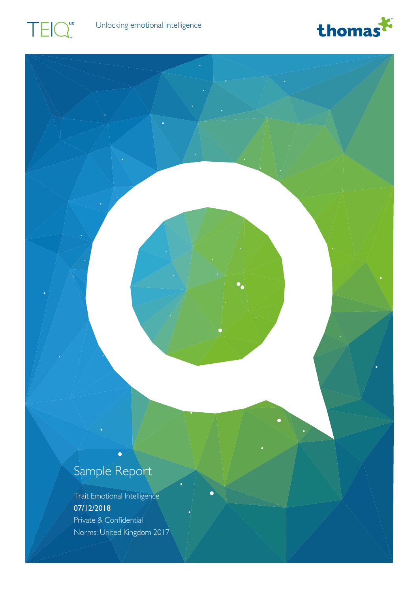





### Sample Report

r

Trait Emotional Intelligence 07/12/2018 Private & Confidential Norms: United Kingdom 2017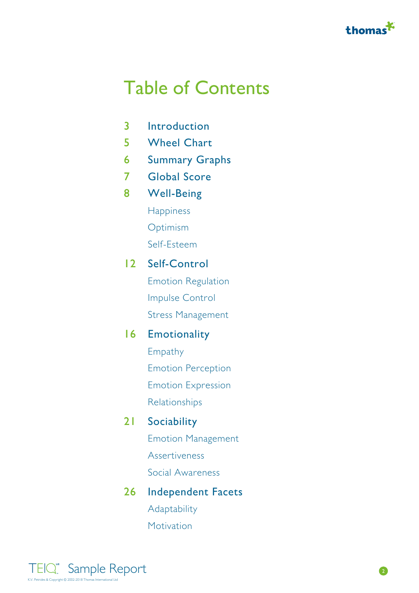

### Table of Contents

- 3 [Introduction](#page-2-0)
- 5 [Wheel Chart](#page-4-0)
- 6 [Summary Graphs](#page-5-0)
- 7 [Global Score](#page-6-0)
- [Well-Being](#page-7-0) 8

**[Happiness](#page-8-0)** 

[Optimism](#page-9-0)

[Self-Esteem](#page-10-0)

#### 12 [Self-Control](#page-11-0)

[Emotion Regulation](#page-12-0) [Impulse Control](#page-13-0) [Stress Management](#page-14-0)

### **16** [Emotionality](#page-15-0) **Exercise 2018**

[Empathy](#page-16-0) [Emotion Perception](#page-17-0) [Emotion Expression](#page-18-0) [Relationships](#page-19-0)

#### 21 [Sociability](#page-20-0) **Sociability** and the set of the set of the set of the set of the set of the set of the set of the set of the set of the set of the set of the set of the set of the set of the set of the set of the set of th

[Emotion Management](#page-22-0) [Assertiveness](#page-23-0) [Social Awareness](#page-24-0)

### 26 [Independent Facets](#page-25-0) and the Union of the Union State of the Union State of the Union State of the Union State o

[Adaptability](#page-25-0) [Motivation](#page-26-0)

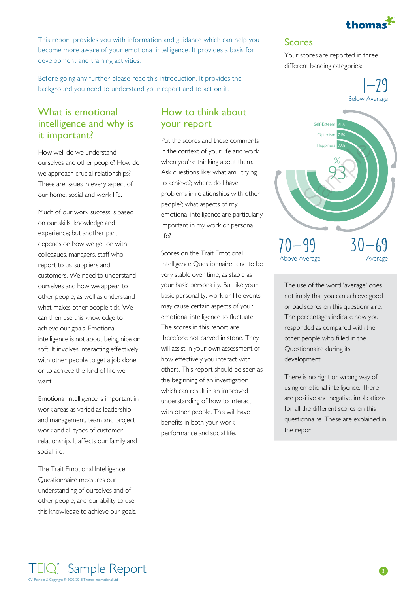

<span id="page-2-0"></span>This report provides you with information and guidance which can help you become more aware of your emotional intelligence. It provides a basis for development and training activities.

Before going any further please read this introduction. It provides the background you need to understand your report and to act on it.

#### What is emotional intelligence and why is it important?

How well do we understand ourselves and other people? How do we approach crucial relationships? These are issues in every aspect of our home, social and work life.

on our skills, knowledge and experience; but another part depends on how we get on with colleagues, managers, staff who report to us, suppliers and customers. We need to understand ourselves and how we appear to other people, as well as understand what makes other people tick. We can then use this knowledge to achieve our goals. Emotional intelligence is not about being nice or soft. It involves interacting effectively with other people to get a job done or to achieve the kind of life we want.

Emotional intelligence is important in work areas as varied as leadership and management, team and project work and all types of customer relationship. It affects our family and social life.

The Trait Emotional Intelligence Questionnaire measures our understanding of ourselves and of other people, and our ability to use this knowledge to achieve our goals.

#### How to think about your report

Much of our work success is based emotional intelligence are particularly and the contract of the contract of the contract of the contract of the contract of the contract of the contract of the contract of the contract of Put the scores and these comments in the context of your life and work when you're thinking about them. Ask questions like: what am I trying to achieve?; where do I have problems in relationships with other people?; what aspects of my important in my work or personal life?

> Scores on the Trait Emotional<br>Above Average Intelligence Questionnaire tend to be very stable over time; as stable as your basic personality. But like your basic personality, work or life events may cause certain aspects of your emotional intelligence to fluctuate. The scores in this report are therefore not carved in stone. They will assist in your own assessment of how effectively you interact with others. This report should be seen as the beginning of an investigation which can result in an improved understanding of how to interact with other people. This will have benefits in both your work performance and social life.

#### Scores

Your scores are reported in three different banding categories:



The use of the word 'average' does not imply that you can achieve good or bad scores on this questionnaire. The percentages indicate how you responded as compared with the other people who filled in the Questionnaire during its development.

There is no right or wrong way of using emotional intelligence. There are positive and negative implications for all the different scores on this questionnaire. These are explained in the report.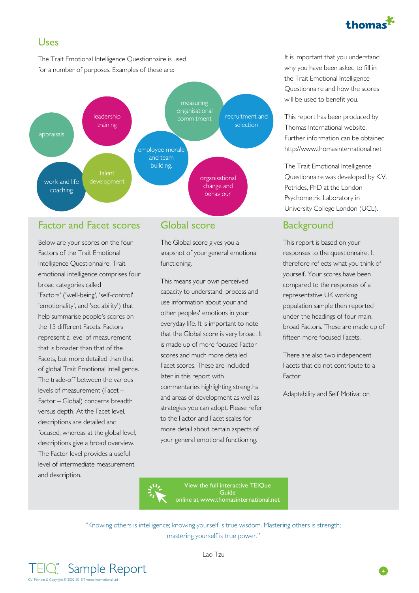

### Uses

The Trait Emotional Intelligence Questionnaire is used for a number of purposes. Examples of these are:



#### Factor and Facet scores

Below are your scores on the four Factors of the Trait Emotional Intelligence Questionnaire. Trait emotional intelligence comprises four broad categories called 'Factors' ('well-being', 'self-control', 'emotionality', and 'sociability') that help summarise people's scores on the 15 different Facets. Factors represent a level of measurement that is broader than that of the<br>Scores and much more detailed Facets, but more detailed than that of global Trait Emotional Intelligence. The trade-off between the various levels of measurement (Facet – Factor – Global) concerns breadth versus depth. At the Facet level, descriptions are detailed and focused, whereas at the global level, descriptions give a broad overview. The Factor level provides a useful level of intermediate measurement and description.

#### Global score Background

The Global score gives you a snapshot of your general emotional functioning.

This means your own perceived capacity to understand, process and use information about your and other peoples' emotions in your everyday life. It is important to note that the Global score is very broad. It is made up of more focused Factor scores and much more detailed There are also two independent Facet scores. These are included later in this report with commentaries highlighting strengths and areas of development as well as strategies you can adopt. Please refer to the Factor and Facet scales for more detail about certain aspects of your general emotional functioning.

It is important that you understand why you have been asked to fill in the Trait Emotional Intelligence Questionnaire and how the scores will be used to benefit you.

This report has been produced by Thomas International website. Further information can be obtained http://www.thomasinternational.net

The Trait Emotional Intelligence Questionnaire was developed by K.V. Petrides, PhD at the London Psychometric Laboratory in University College London (UCL).

This report is based on your responses to the questionnaire. It therefore reflects what you think of yourself. Your scores have been compared to the responses of a representative UK working population sample then reported under the headings of four main, broad Factors. These are made up of fifteen more focused Facets.

Facets that do not contribute to a Factor:

Adaptability and Self Motivation



[View the full interactive TEIQue](https://www.thomasinternational.net/en-GB/ourassessments/TEIQue.aspx) [Guide](https://www.thomasinternational.net/en-GB/ourassessments/TEIQue.aspx) **Guide and School Control** [online at www.thomasinternational.net](https://www.thomasinternational.net/en-GB/ourassessments/TEIQue.aspx)

"Knowing others is intelligence; knowing yourself is true wisdom. Mastering others is strength; mastering yourself is true power."



4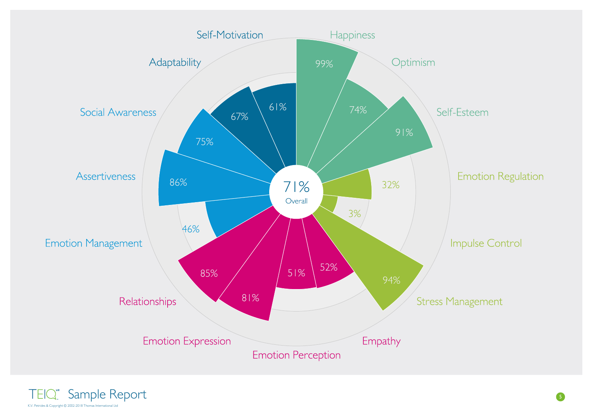<span id="page-4-0"></span>

Sample Report K.V. Petrides & Copyright © 2002-2018 Thomas International Ltd.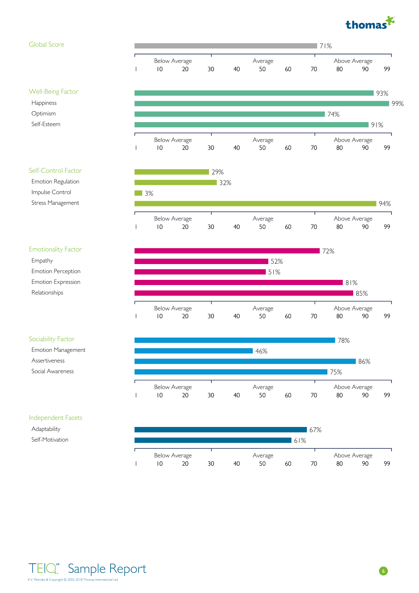

Well-Being Factor

Self-Control Factor Emotion Regulation Impulse Control Stress Management

Emotionality Factor

Emotion Perception Emotion Expression Relationships

Sociability Factor Emotion Management

Assertiveness Social Awareness

Empathy

Happiness Optimism Self-Esteem

### <span id="page-5-0"></span>Global Score 71% Below Average Average Above Average 1 10 20 30 40 50 60 70 80 90 99 93% 99% 74% 91% Below Average Average Above Average 1 10 20 30 40 50 60 70 80 90 99 29% 32% 3% 94% Below Average Average Above Average 1 10 20 30 40 50 60 70 80 90 99 72% 52% 51%





#### Independent Facets

Adaptability Self-Motivation



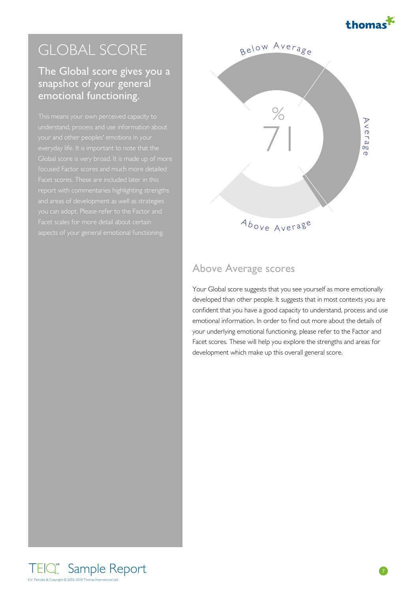

### The Global score gives you a snapshot of your general emotional functioning.

Facet scores. These are included later in this Facet scales for more detail about certain  $A_{bove}$ 

<span id="page-6-0"></span>

### Above Average scores

Your Global score suggests that you see yourself as more emotionally developed than other people. It suggests that in most contexts you are confident that you have a good capacity to understand, process and use emotional information. In order to find out more about the details of your underlying emotional functioning, please refer to the Factor and Facet scores. These will help you explore the strengths and areas for development which make up this overall general score.

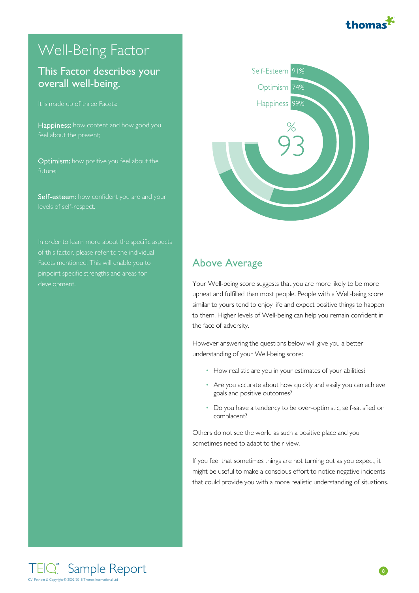

### <span id="page-7-0"></span>Well-Being Factor

### This Factor describes your and the self-Esteem 91% overall well-being.

It is made up of three Facets:

Happiness: how content and how good you

Optimism: how positive you feel about the future;

Self-esteem: how confident you are and your levels of self-respect.

Facets mentioned. This will enable you to pinpoint specific strengths and areas for development.



### Above Average

Your Well-being score suggests that you are more likely to be more upbeat and fulfilled than most people. People with a Well-being score similar to yours tend to enjoy life and expect positive things to happen to them. Higher levels of Well-being can help you remain confident in the face of adversity.

However answering the questions below will give you a better understanding of your Well-being score:

- How realistic are you in your estimates of your abilities? •
- Are you accurate about how quickly and easily you can achieve goals and positive outcomes?
- Do you have a tendency to be over-optimistic, self-satisfied or complacent?

Others do not see the world as such a positive place and you sometimes need to adapt to their view.

If you feel that sometimes things are not turning out as you expect, it might be useful to make a conscious effort to notice negative incidents that could provide you with a more realistic understanding of situations.

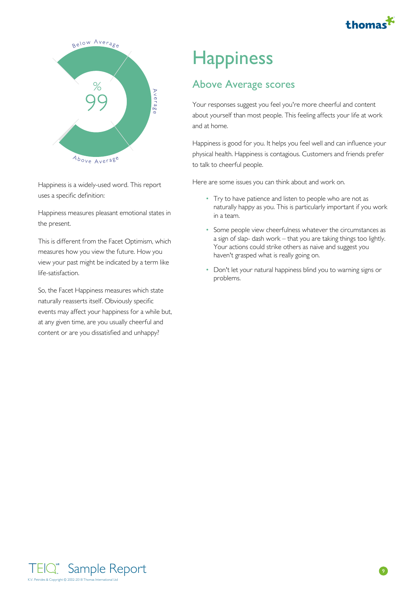

<span id="page-8-0"></span>

Happiness is a widely-used word. This report uses a specific definition:

Happiness measures pleasant emotional states in the present.

This is different from the Facet Optimism, which measures how you view the future. How you view your past might be indicated by a term like life-satisfaction.

So, the Facet Happiness measures which state naturally reasserts itself. Obviously specific events may affect your happiness for a while but, at any given time, are you usually cheerful and content or are you dissatisfied and unhappy?

### **Happiness**

### Above Average scores

Your responses suggest you feel you're more cheerful and content about yourself than most people. This feeling affects your life at work and at home.

Happiness is good for you. It helps you feel well and can influence your physical health. Happiness is contagious. Customers and friends prefer to talk to cheerful people.

- Try to have patience and listen to people who are not as naturally happy as you. This is particularly important if you work in a team.
- Some people view cheerfulness whatever the circumstances as a sign of slap- dash work – that you are taking things too lightly. Your actions could strike others as naive and suggest you haven't grasped what is really going on.
- Don't let your natural happiness blind you to warning signs or problems.

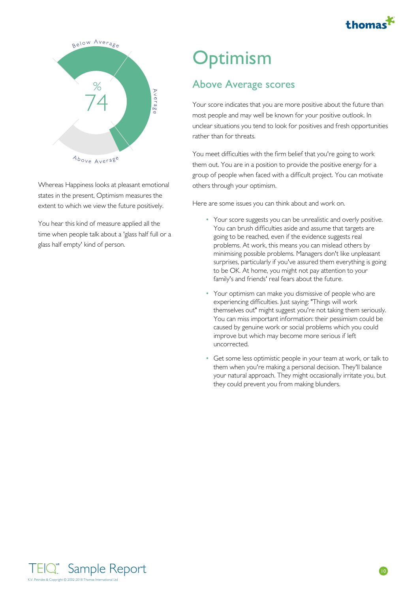

<span id="page-9-0"></span>

Whereas Happiness looks at pleasant emotional states in the present, Optimism measures the extent to which we view the future positively.

You hear this kind of measure applied all the time when people talk about a 'glass half full or a glass half empty' kind of person.

### **Optimism**

### Above Average scores

Your score indicates that you are more positive about the future than most people and may well be known for your positive outlook. In unclear situations you tend to look for positives and fresh opportunities rather than for threats.

You meet difficulties with the firm belief that you're going to work them out. You are in a position to provide the positive energy for a group of people when faced with a difficult project. You can motivate others through your optimism.

- Your score suggests you can be unrealistic and overly positive. You can brush difficulties aside and assume that targets are going to be reached, even if the evidence suggests real problems. At work, this means you can mislead others by minimising possible problems. Managers don't like unpleasant surprises, particularly if you've assured them everything is going to be OK. At home, you might not pay attention to your family's and friends' real fears about the future.
- Your optimism can make you dismissive of people who are experiencing difficulties. Just saying: "Things will work themselves out" might suggest you're not taking them seriously. You can miss important information: their pessimism could be caused by genuine work or social problems which you could improve but which may become more serious if left uncorrected.
- Get some less optimistic people in your team at work, or talk to them when you're making a personal decision. They'll balance your natural approach. They might occasionally irritate you, but they could prevent you from making blunders.

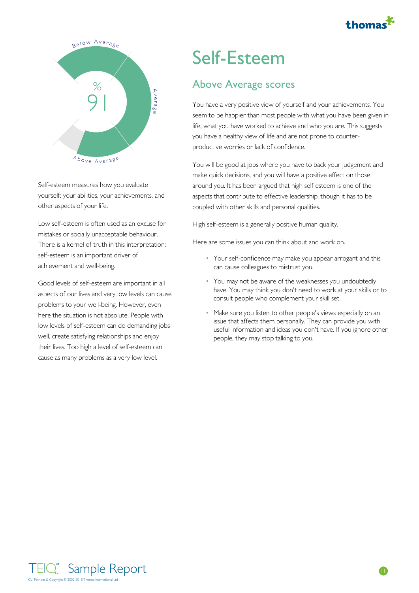

<span id="page-10-0"></span>

Self-esteem measures how you evaluate yourself: your abilities, your achievements, and other aspects of your life.

Low self-esteem is often used as an excuse for mistakes or socially unacceptable behaviour. There is a kernel of truth in this interpretation: self-esteem is an important driver of achievement and well-being.

Good levels of self-esteem are important in all aspects of our lives and very low levels can cause problems to your well-being. However, even here the situation is not absolute. People with low levels of self-esteem can do demanding jobs well, create satisfying relationships and enjoy their lives. Too high a level of self-esteem can cause as many problems as a very low level.

### Self-Esteem

### Above Average scores

You have a very positive view of yourself and your achievements. You seem to be happier than most people with what you have been given in life, what you have worked to achieve and who you are. This suggests you have a healthy view of life and are not prone to counterproductive worries or lack of confidence.

You will be good at jobs where you have to back your judgement and make quick decisions, and you will have a positive effect on those around you. It has been argued that high self esteem is one of the aspects that contribute to effective leadership, though it has to be coupled with other skills and personal qualities.

High self-esteem is a generally positive human quality.

- Your self-confidence may make you appear arrogant and this can cause colleagues to mistrust you.
- You may not be aware of the weaknesses you undoubtedly have. You may think you don't need to work at your skills or to consult people who complement your skill set.
- Make sure you listen to other people's views especially on an issue that affects them personally. They can provide you with useful information and ideas you don't have. If you ignore other people, they may stop talking to you.

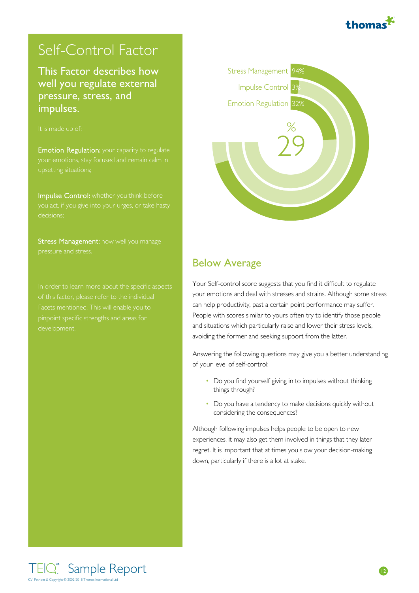

### <span id="page-11-0"></span>Self-Control Factor

**This Factor describes how Stress Management** 94% well you regulate external pressure, stress, and<br>
intervals and<br>
Emotion Regulation 32% impulses.



Emotion Regulation: your capacity to regulate your emotions, stay focused and remain calm in

Impulse Control: whether you think before decisions;

Stress Management: how well you manage



### Below Average

Your Self-control score suggests that you find it difficult to regulate your emotions and deal with stresses and strains. Although some stress can help productivity, past a certain point performance may suffer. People with scores similar to yours often try to identify those people and situations which particularly raise and lower their stress levels, avoiding the former and seeking support from the latter.

Answering the following questions may give you a better understanding of your level of self-control:

- Do you find yourself giving in to impulses without thinking things through?
- Do you have a tendency to make decisions quickly without considering the consequences?

Although following impulses helps people to be open to new experiences, it may also get them involved in things that they later regret. It is important that at times you slow your decision-making down, particularly if there is a lot at stake.

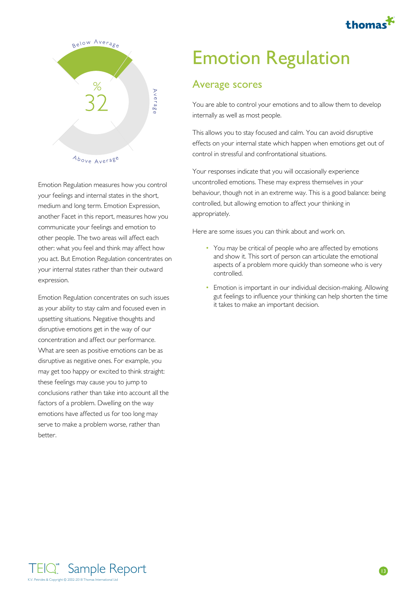

<span id="page-12-0"></span>

Emotion Regulation measures how you control your feelings and internal states in the short, medium and long term. Emotion Expression, another Facet in this report, measures how you communicate your feelings and emotion to other people. The two areas will affect each other: what you feel and think may affect how you act. But Emotion Regulation concentrates on your internal states rather than their outward expression.

Emotion Regulation concentrates on such issues<br>it takes to make an important decision. as your ability to stay calm and focused even in upsetting situations. Negative thoughts and disruptive emotions get in the way of our concentration and affect our performance. What are seen as positive emotions can be as disruptive as negative ones. For example, you may get too happy or excited to think straight: these feelings may cause you to jump to conclusions rather than take into account all the factors of a problem. Dwelling on the way emotions have affected us for too long may serve to make a problem worse, rather than better.

# Emotion Regulation

### Average scores

You are able to control your emotions and to allow them to develop internally as well as most people.

This allows you to stay focused and calm. You can avoid disruptive effects on your internal state which happen when emotions get out of control in stressful and confrontational situations.

Your responses indicate that you will occasionally experience uncontrolled emotions. These may express themselves in your behaviour, though not in an extreme way. This is a good balance: being controlled, but allowing emotion to affect your thinking in appropriately.

- You may be critical of people who are affected by emotions and show it. This sort of person can articulate the emotional aspects of a problem more quickly than someone who is very controlled. • You may be critical of people who are affected by en<br>and show it. This sort of person can articulate the em<br>aspects of a problem more quickly than someone wh<br>controlled.<br>• Emotion is important in our individual decision-
- Emotion is important in our individual decision-making. Allowing gut feelings to influence your thinking can help shorten the time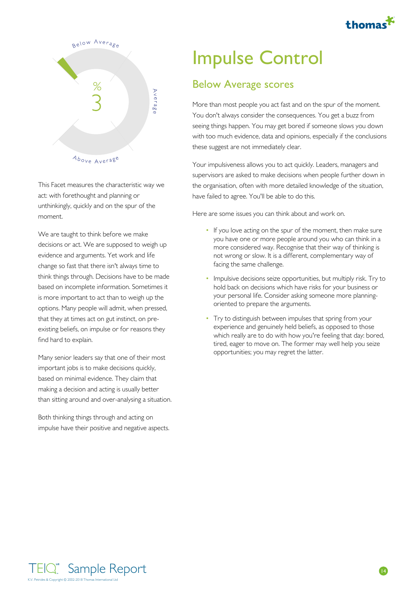

<span id="page-13-0"></span>

This Facet measures the characteristic way we act: with forethought and planning or unthinkingly, quickly and on the spur of the moment.

We are taught to think before we make decisions or act. We are supposed to weigh up evidence and arguments. Yet work and life change so fast that there isn't always time to think things through. Decisions have to be made based on incomplete information. Sometimes it is more important to act than to weigh up the options. Many people will admit, when pressed, that they at times act on gut instinct, on preexisting beliefs, on impulse or for reasons they find hard to explain.

Many senior leaders say that one of their most important jobs is to make decisions quickly, based on minimal evidence. They claim that making a decision and acting is usually better than sitting around and over-analysing a situation.

Both thinking things through and acting on impulse have their positive and negative aspects.

### Impulse Control

### Below Average scores

More than most people you act fast and on the spur of the moment. You don't always consider the consequences. You get a buzz from seeing things happen. You may get bored if someone slows you down with too much evidence, data and opinions, especially if the conclusions these suggest are not immediately clear.

Your impulsiveness allows you to act quickly. Leaders, managers and supervisors are asked to make decisions when people further down in the organisation, often with more detailed knowledge of the situation, have failed to agree. You'll be able to do this.

- If you love acting on the spur of the moment, then make sure you have one or more people around you who can think in a more considered way. Recognise that their way of thinking is not wrong or slow. It is a different, complementary way of facing the same challenge.
- $\bullet$  Impulsive decisions seize opportunities, but multiply risk. Try to hold back on decisions which have risks for your business or your personal life. Consider asking someone more planningoriented to prepare the arguments.
- Try to distinguish between impulses that spring from your experience and genuinely held beliefs, as opposed to those which really are to do with how you're feeling that day: bored, tired, eager to move on. The former may well help you seize opportunities; you may regret the latter.

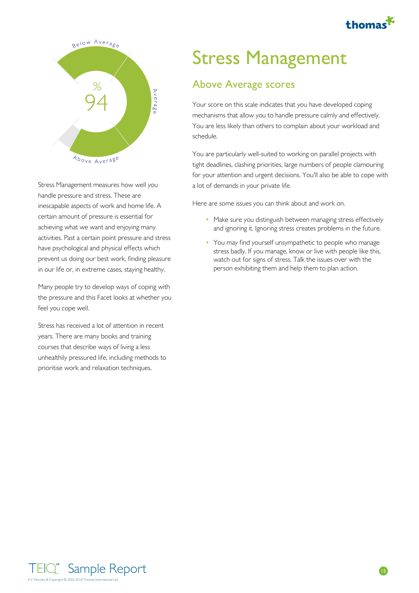

<span id="page-14-0"></span>

Stress Management measures how well you handle pressure and stress. These are inescapable aspects of work and home life. A certain amount of pressure is essential for achieving what we want and enjoying many activities. Past a certain point pressure and stress have psychological and physical effects which prevent us doing our best work, finding pleasure in our life or, in extreme cases, staying healthy.

Many people try to develop ways of coping with the pressure and this Facet looks at whether you feel you cope well.

Stress has received a lot of attention in recent years. There are many books and training courses that describe ways of living a less unhealthily pressured life, including methods to prioritise work and relaxation techniques.

# Stress Management

### Above Average scores

Your score on this scale indicates that you have developed coping mechanisms that allow you to handle pressure calmly and effectively. You are less likely than others to complain about your workload and schedule.

You are particularly well-suited to working on parallel projects with tight deadlines, clashing priorities, large numbers of people clamouring for your attention and urgent decisions. You'll also be able to cope with a lot of demands in your private life.

- Make sure you distinguish between managing stress effectively and ignoring it. Ignoring stress creates problems in the future.
- You may find yourself unsympathetic to people who manage stress badly. If you manage, know or live with people like this, watch out for signs of stress. Talk the issues over with the • Make sure you distinguish between managing stress effectively<br>and ignoring it. Ignoring stress creates problems in the future.<br>• You may find yourself unsympathetic to people who manage<br>stress badly. If you manage, know

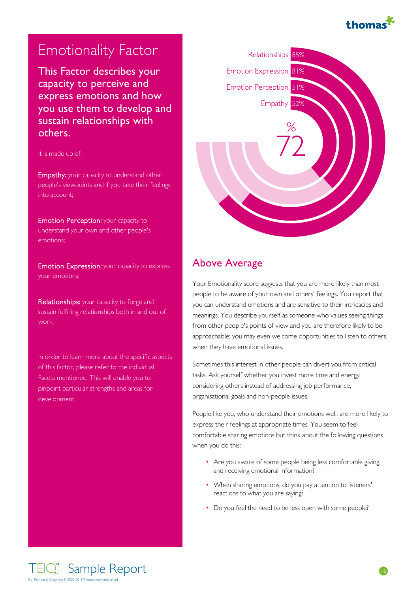

**This Factor describes your** Figure **Expression** 81% **capacity to perceive and Emotion Perception 51%** express emotions and how<br>express them to denote a set of the set of the set of the set of the set of the set of the set of the set of the set of the set of the set of the set of the set of the set of the set of the set of you use them to develop and sustain relationships with the set of the set of the set of the set of the set of the set of the set of the set of the set of the set of the set of the set of the set of the set of the set of the set of the set of the set others.

It is made up of:

Empathy: your capacity to understand other people's viewpoints and if you take their feelings into account;

Emotion Perception: your capacity to understand your own and other people's emotions;

Emotion Expression: your capacity to express your emotions;

Relationships: your capacity to forge and sustain fulfilling relationships both in and out of work.

In order to learn more about the specific aspects of this factor, please refer to the individual Facets mentioned. This will enable you to pinpoint particular strengths and areas for development.

<span id="page-15-0"></span>

#### Above Average

Your Emotionality score suggests that you are more likely than most people to be aware of your own and others' feelings. You report that you can understand emotions and are sensitive to their intricacies and meanings. You describe yourself as someone who values seeing things from other people's points of view and you are therefore likely to be approachable; you may even welcome opportunities to listen to others when they have emotional issues.

Sometimes this interest in other people can divert you from critical tasks. Ask yourself whether you invest more time and energy considering others instead of addressing job performance, organisational goals and non-people issues.

People like you, who understand their emotions well, are more likely to express their feelings at appropriate times. You seem to feel comfortable sharing emotions but think about the following questions when you do this:

- Are you aware of some people being less comfortable giving and receiving emotional information?
- When sharing emotions, do you pay attention to listeners' reactions to what you are saying? • Are you aware of some people being less comfortable giving<br>and receiving emotional information?<br>• When sharing emotions, do you pay attention to listeners'<br>reactions to what you are saying?<br>• Do you feel the need to be l • When sharing emotions, do you pay atte
- Do you feel the need to be less open with some people?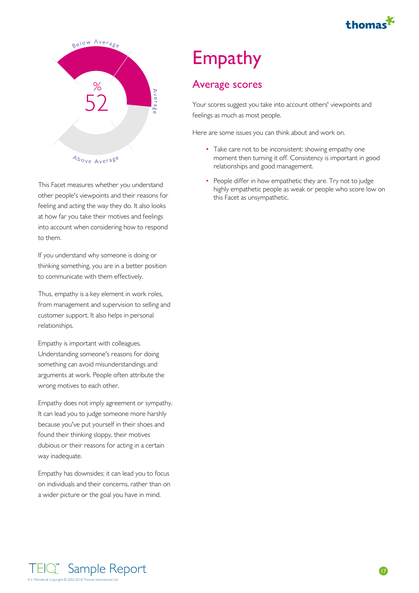

<span id="page-16-0"></span>

This Facet measures whether you understand other people's viewpoints and their reasons for this Facet as unsympathetic. feeling and acting the way they do. It also looks at how far you take their motives and feelings into account when considering how to respond to them.

If you understand why someone is doing or thinking something, you are in a better position to communicate with them effectively.

Thus, empathy is a key element in work roles, from management and supervision to selling and customer support. It also helps in personal relationships.

Empathy is important with colleagues. Understanding someone's reasons for doing something can avoid misunderstandings and arguments at work. People often attribute the wrong motives to each other.

Empathy does not imply agreement or sympathy. It can lead you to judge someone more harshly because you've put yourself in their shoes and found their thinking sloppy, their motives dubious or their reasons for acting in a certain way inadequate.

Empathy has downsides: it can lead you to focus on individuals and their concerns, rather than on a wider picture or the goal you have in mind.

# Empathy

### Average scores

Your scores suggest you take into account others' viewpoints and feelings as much as most people.

- Take care not to be inconsistent: showing empathy one moment then turning it off. Consistency is important in good relationships and good management.
- People differ in how empathetic they are. Try not to judge highly empathetic people as weak or people who score low on • Take care not to be inconsistent: showing<br>moment then turning it off. Consistency is<br>relationships and good management.<br>• People differ in how empathetic they are.<br>highly empathetic people as weak or peop<br>this Facet as u • People differ in how empathetic they ar

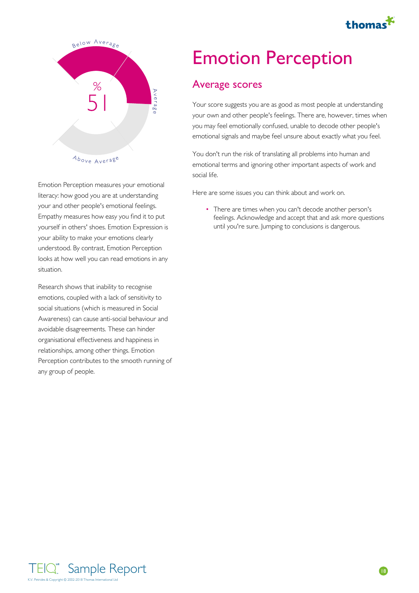

<span id="page-17-0"></span>

Emotion Perception measures your emotional literacy: how good you are at understanding your and other people's emotional feelings. Empathy measures how easy you find it to put your ability to make your emotions clearly understood. By contrast, Emotion Perception looks at how well you can read emotions in any situation.

Research shows that inability to recognise emotions, coupled with a lack of sensitivity to social situations (which is measured in Social Awareness) can cause anti-social behaviour and avoidable disagreements. These can hinder organisational effectiveness and happiness in relationships, among other things. Emotion Perception contributes to the smooth running of any group of people.

# Emotion Perception

### Average scores

Your score suggests you are as good as most people at understanding your own and other people's feelings. There are, however, times when you may feel emotionally confused, unable to decode other people's emotional signals and maybe feel unsure about exactly what you feel.

You don't run the risk of translating all problems into human and emotional terms and ignoring other important aspects of work and social life.

Here are some issues you can think about and work on.

yourself in others' shoes. Emotion Expression is There are times when you can't decode another person's feelings. Acknowledge and accept that and ask more questions • There are times when you can't decode another person's<br>feelings. Acknowledge and accept that and ask more questions<br>until you're sure. Jumping to conclusions is dangerous.

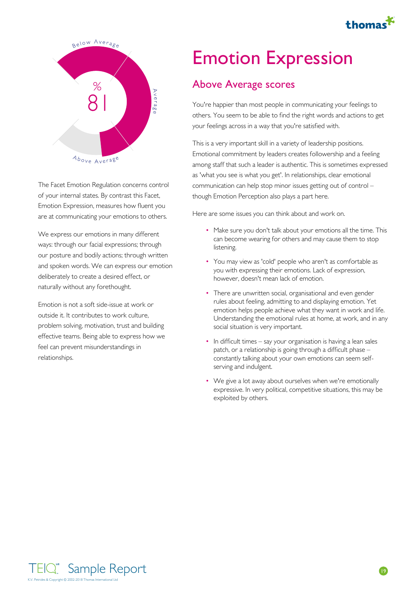

<span id="page-18-0"></span>

The Facet Emotion Regulation concerns control of your internal states. By contrast this Facet, Emotion Expression, measures how fluent you are at communicating your emotions to others.

We express our emotions in many different ways: through our facial expressions; through our posture and bodily actions; through written and spoken words. We can express our emotion deliberately to create a desired effect, or naturally without any forethought.

Emotion is not a soft side-issue at work or outside it. It contributes to work culture, problem solving, motivation, trust and building effective teams. Being able to express how we feel can prevent misunderstandings in relationships.

### Emotion Expression

### Above Average scores

You're happier than most people in communicating your feelings to others. You seem to be able to find the right words and actions to get your feelings across in a way that you're satisfied with.

This is a very important skill in a variety of leadership positions. Emotional commitment by leaders creates followership and a feeling among staff that such a leader is authentic. This is sometimes expressed as 'what you see is what you get'. In relationships, clear emotional communication can help stop minor issues getting out of control – though Emotion Perception also plays a part here.

Here are some issues you can think about and work on.

- Make sure you don't talk about your emotions all the time. This can become wearing for others and may cause them to stop listening.
- You may view as 'cold' people who aren't as comfortable as you with expressing their emotions. Lack of expression, however, doesn't mean lack of emotion.
- There are unwritten social, organisational and even gender rules about feeling, admitting to and displaying emotion. Yet emotion helps people achieve what they want in work and life. Understanding the emotional rules at home, at work, and in any social situation is very important.
- In difficult times say your organisation is having a lean sales patch, or a relationship is going through a difficult phase – constantly talking about your own emotions can seem selfserving and indulgent.
- We give a lot away about ourselves when we're emotionally expressive. In very political, competitive situations, this may be exploited by others.

Sample Report K.V. Petrides & Copyright © 2002-2018 Thomas International Ltd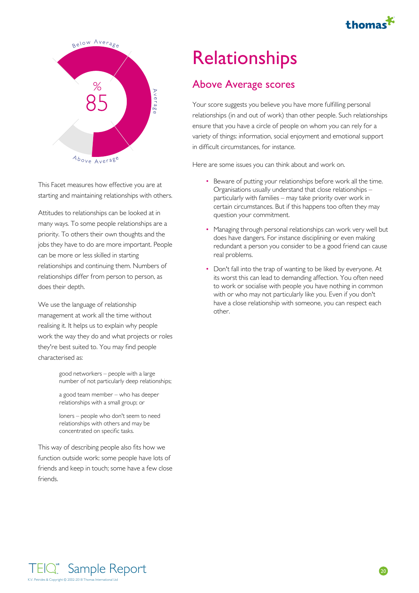

<span id="page-19-0"></span>

This Facet measures how effective you are at starting and maintaining relationships with others.

Attitudes to relationships can be looked at in many ways. To some people relationships are a priority. To others their own thoughts and the jobs they have to do are more important. People can be more or less skilled in starting relationships and continuing them. Numbers of relationships differ from person to person, as does their depth.

We use the language of relationship management at work all the time without realising it. It helps us to explain why people work the way they do and what projects or roles they're best suited to. You may find people characterised as:

> good networkers – people with a large • number of not particularly deep relationships;

a good team member – who has deeper • relationships with a small group; or

loners – people who don't seem to need • relationships with others and may be concentrated on specific tasks.

This way of describing people also fits how we function outside work: some people have lots of friends and keep in touch; some have a few close friends.

# **Relationships**

### Above Average scores

Your score suggests you believe you have more fulfilling personal relationships (in and out of work) than other people. Such relationships ensure that you have a circle of people on whom you can rely for a variety of things: information, social enjoyment and emotional support in difficult circumstances, for instance.

- Beware of putting your relationships before work all the time. Organisations usually understand that close relationships – particularly with families – may take priority over work in certain circumstances. But if this happens too often they may question your commitment.
- Managing through personal relationships can work very well but does have dangers. For instance disciplining or even making redundant a person you consider to be a good friend can cause real problems.
- Don't fall into the trap of wanting to be liked by everyone. At its worst this can lead to demanding affection. You often need to work or socialise with people you have nothing in common with or who may not particularly like you. Even if you don't have a close relationship with someone, you can respect each other.

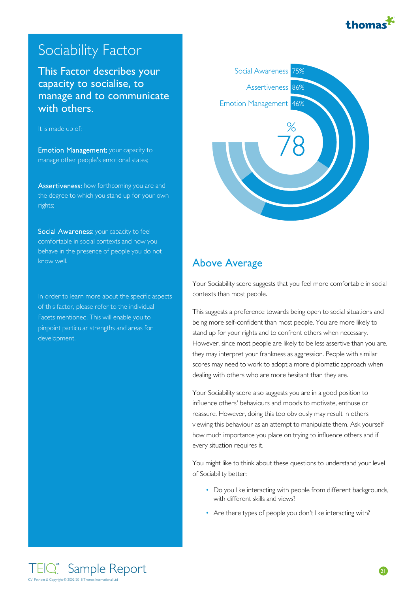

### <span id="page-20-0"></span>Sociability Factor

This Factor describes your **Social Awareness capacity to socialise, to capacity to socialise, to capacity has a sexual density**  $\frac{86\%}{86\%}$ manage and to communicate<br>
Emotion Management 46% with others.

#### It is made up of:

Emotion Management: your capacity to manage other people's emotional states;

Assertiveness: how forthcoming you are and the degree to which you stand up for your own rights;

Social Awareness: your capacity to feel comfortable in social contexts and how you behave in the presence of people you do not know well.

In order to learn more about the specific aspects of this factor, please refer to the individual Facets mentioned. This will enable you to pinpoint particular strengths and areas for development.



#### Above Average

Your Sociability score suggests that you feel more comfortable in social contexts than most people.

This suggests a preference towards being open to social situations and being more self-confident than most people. You are more likely to stand up for your rights and to confront others when necessary. However, since most people are likely to be less assertive than you are, they may interpret your frankness as aggression. People with similar scores may need to work to adopt a more diplomatic approach when dealing with others who are more hesitant than they are.

Your Sociability score also suggests you are in a good position to influence others' behaviours and moods to motivate, enthuse or reassure. However, doing this too obviously may result in others viewing this behaviour as an attempt to manipulate them. Ask yourself how much importance you place on trying to influence others and if every situation requires it.

You might like to think about these questions to understand your level of Sociability better:

- Do you like interacting with people from different backgrounds, with different skills and views? • Do you like interacting with people from different backgrounds,<br>with different skills and views?<br>• Are there types of people you don't like interacting with?
-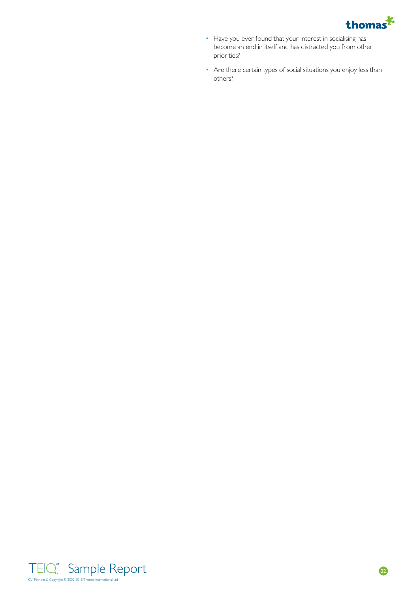

- Have you ever found that your interest in socialising has become an end in itself and has distracted you from other priorities? • Have you ever found that your interest<br>become an end in itself and has distracte<br>priorities?<br>• Are there certain types of social situatio<br>others?
- Are there certain types of social situations you enjoy less than • Are there certain types of social situation

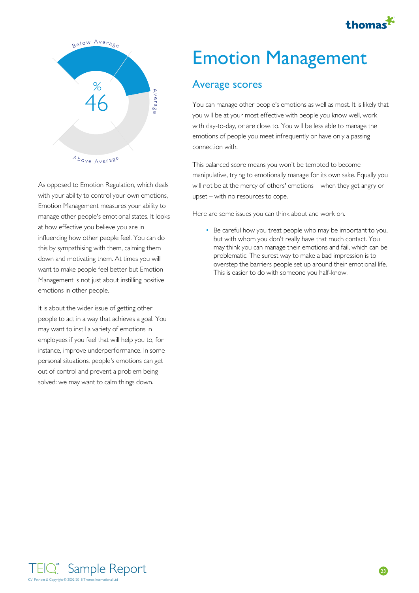

<span id="page-22-0"></span>

As opposed to Emotion Regulation, which deals with your ability to control your own emotions, Emotion Management measures your ability to manage other people's emotional states. It looks at how effective you believe you are in influencing how other people feel. You can do this by sympathising with them, calming them down and motivating them. At times you will Management is not just about instilling positive emotions in other people.

It is about the wider issue of getting other people to act in a way that achieves a goal. You may want to instil a variety of emotions in employees if you feel that will help you to, for instance, improve underperformance. In some personal situations, people's emotions can get out of control and prevent a problem being solved: we may want to calm things down.

## Emotion Management

#### Average scores

You can manage other people's emotions as well as most. It is likely that you will be at your most effective with people you know well, work with day-to-day, or are close to. You will be less able to manage the emotions of people you meet infrequently or have only a passing connection with.

This balanced score means you won't be tempted to become manipulative, trying to emotionally manage for its own sake. Equally you will not be at the mercy of others' emotions – when they get angry or upset – with no resources to cope.

Here are some issues you can think about and work on.

want to make people feel better but Emotion<br>This is easier to do with someone you half-know. Be careful how you treat people who may be important to you, but with whom you don't really have that much contact. You may think you can manage their emotions and fail, which can be problematic. The surest way to make a bad impression is to overstep the barriers people set up around their emotional life. • Be careful how you treat people who may be important to you,<br>but with whom you don't really have that much contact. You<br>may think you can manage their emotions and fail, which can be<br>problematic. The surest way to make a

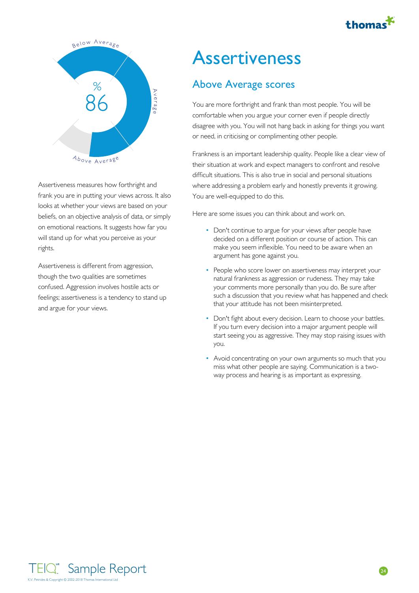

<span id="page-23-0"></span>

Assertiveness measures how forthright and frank you are in putting your views across. It also looks at whether your views are based on your beliefs, on an objective analysis of data, or simply on emotional reactions. It suggests how far you will stand up for what you perceive as your rights.

Assertiveness is different from aggression, though the two qualities are sometimes confused. Aggression involves hostile acts or feelings; assertiveness is a tendency to stand up and argue for your views.

### **Assertiveness**

### Above Average scores

You are more forthright and frank than most people. You will be comfortable when you argue your corner even if people directly disagree with you. You will not hang back in asking for things you want or need, in criticising or complimenting other people.

Frankness is an important leadership quality. People like a clear view of their situation at work and expect managers to confront and resolve difficult situations. This is also true in social and personal situations where addressing a problem early and honestly prevents it growing. You are well-equipped to do this.

- Don't continue to argue for your views after people have decided on a different position or course of action. This can make you seem inflexible. You need to be aware when an argument has gone against you.
- People who score lower on assertiveness may interpret your natural frankness as aggression or rudeness. They may take your comments more personally than you do. Be sure after such a discussion that you review what has happened and check that your attitude has not been misinterpreted.
- Don't fight about every decision. Learn to choose your battles. If you turn every decision into a major argument people will start seeing you as aggressive. They may stop raising issues with you.
- Avoid concentrating on your own arguments so much that you miss what other people are saying. Communication is a twoway process and hearing is as important as expressing.

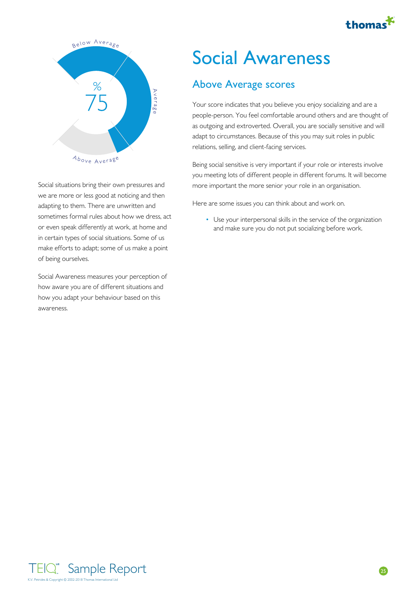

<span id="page-24-0"></span>

Social situations bring their own pressures and we are more or less good at noticing and then adapting to them. There are unwritten and sometimes formal rules about how we dress, act in certain types of social situations. Some of us make efforts to adapt; some of us make a point of being ourselves.

Social Awareness measures your perception of how aware you are of different situations and how you adapt your behaviour based on this awareness.

# Social Awareness

### Above Average scores

Your score indicates that you believe you enjoy socializing and are a people-person. You feel comfortable around others and are thought of as outgoing and extroverted. Overall, you are socially sensitive and will adapt to circumstances. Because of this you may suit roles in public relations, selling, and client-facing services.

Being social sensitive is very important if your role or interests involve you meeting lots of different people in different forums. It will become more important the more senior your role in an organisation.

Here are some issues you can think about and work on.

or even speak differently at work, at home and **the and make sure you do not put socializing before work**. Use your interpersonal skills in the service of the organization and make sure you do not put socializing before work. •

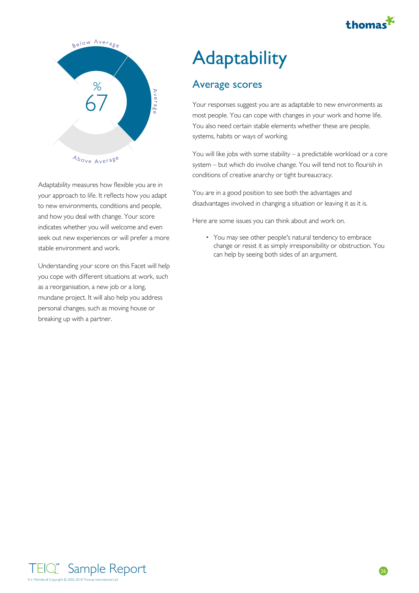

<span id="page-25-0"></span>

Adaptability measures how flexible you are in your approach to life. It reflects how you adapt to new environments, conditions and people, and how you deal with change. Your score indicates whether you will welcome and even seek out new experiences or will prefer a more stable environment and work.

Understanding your score on this Facet will help you cope with different situations at work, such as a reorganisation, a new job or a long, mundane project. It will also help you address personal changes, such as moving house or breaking up with a partner.

# **Adaptability**

### Average scores

Your responses suggest you are as adaptable to new environments as most people. You can cope with changes in your work and home life. You also need certain stable elements whether these are people, systems, habits or ways of working.

You will like jobs with some stability – a predictable workload or a core system – but which do involve change. You will tend not to flourish in conditions of creative anarchy or tight bureaucracy.

You are in a good position to see both the advantages and disadvantages involved in changing a situation or leaving it as it is.

Here are some issues you can think about and work on.

• You may see other people's natural tendency to embrace change or resist it as simply irresponsibility or obstruction. You • You may see other people's natural tendency to embrace<br>change or resist it as simply irresponsibility or obstruction. Y<br>can help by seeing both sides of an argument.

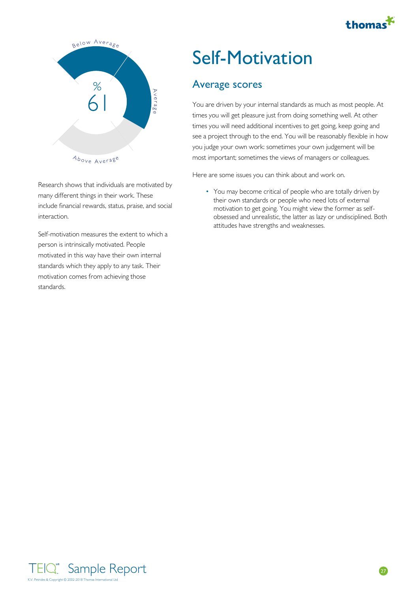

<span id="page-26-0"></span>

Research shows that individuals are motivated by many different things in their work. These include financial rewards, status, praise, and social interaction.

Self-motivation measures the extent to which a person is intrinsically motivated. People motivated in this way have their own internal standards which they apply to any task. Their motivation comes from achieving those standards.

## Self-Motivation

### Average scores

You are driven by your internal standards as much as most people. At times you will get pleasure just from doing something well. At other times you will need additional incentives to get going, keep going and see a project through to the end. You will be reasonably flexible in how you judge your own work: sometimes your own judgement will be most important; sometimes the views of managers or colleagues.

Here are some issues you can think about and work on.

• You may become critical of people who are totally driven by their own standards or people who need lots of external motivation to get going. You might view the former as selfobsessed and unrealistic, the latter as lazy or undisciplined. Both • You may become critical of people who are totally drived their own standards or people who need lots of extern motivation to get going. You might view the former as sobsessed and unrealistic, the latter as lazy or undisc